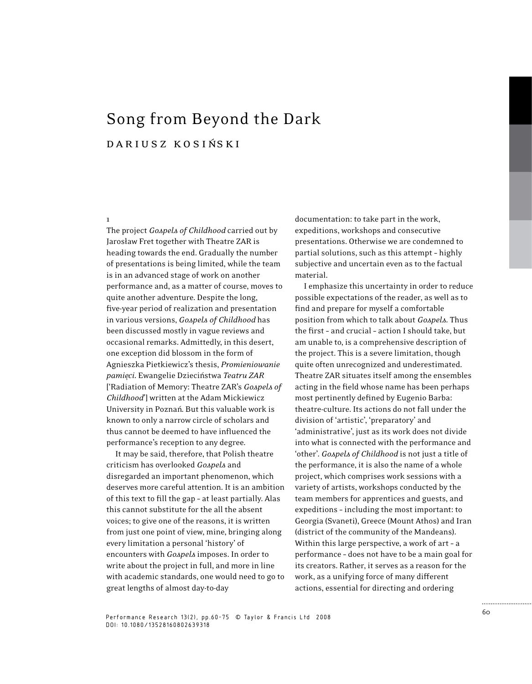# Song from Beyond the Dark DARIUSZ KOSIŃSKI

#### 1

The project *Gospels of Childhood* carried out by Jarosław Fret together with Theatre ZAR is heading towards the end. Gradually the number of presentations is being limited, while the team is in an advanced stage of work on another performance and, as a matter of course, moves to quite another adventure. Despite the long, five-year period of realization and presentation in various versions, *Gospels of Childhood* has been discussed mostly in vague reviews and occasional remarks. Admittedly, in this desert, one exception did blossom in the form of Agnieszka Pietkiewicz's thesis, *Promieniowanie pamie¸ci*. Ewangelie Dziecin´stwa *Teatru ZAR* ['Radiation of Memory: Theatre ZAR's *Gospels of Childhood*'] written at the Adam Mickiewicz University in Poznań. But this valuable work is known to only a narrow circle of scholars and thus cannot be deemed to have influenced the performance's reception to any degree.

 It may be said, therefore, that Polish theatre criticism has overlooked *Gospels* and disregarded an important phenomenon, which deserves more careful attention. It is an ambition of this text to fill the gap – at least partially. Alas this cannot substitute for the all the absent voices; to give one of the reasons, it is written from just one point of view, mine, bringing along every limitation a personal 'history' of encounters with *Gospels* imposes. In order to write about the project in full, and more in line with academic standards, one would need to go to great lengths of almost day-to-day

documentation: to take part in the work, expeditions, workshops and consecutive presentations. Otherwise we are condemned to partial solutions, such as this attempt – highly subjective and uncertain even as to the factual material.

 I emphasize this uncertainty in order to reduce possible expectations of the reader, as well as to find and prepare for myself a comfortable position from which to talk about *Gospels*. Thus the first – and crucial – action I should take, but am unable to, is a comprehensive description of the project. This is a severe limitation, though quite often unrecognized and underestimated. Theatre ZAR situates itself among the ensembles acting in the field whose name has been perhaps most pertinently defined by Eugenio Barba: theatre-culture. Its actions do not fall under the division of 'artistic', 'preparatory' and 'administrative', just as its work does not divide into what is connected with the performance and 'other'. *Gospels of Childhood* is not just a title of the performance, it is also the name of a whole project, which comprises work sessions with a variety of artists, workshops conducted by the team members for apprentices and guests, and expeditions – including the most important: to Georgia (Svaneti), Greece (Mount Athos) and Iran (district of the community of the Mandeans). Within this large perspective, a work of art – a performance – does not have to be a main goal for its creators. Rather, it serves as a reason for the work, as a unifying force of many different actions, essential for directing and ordering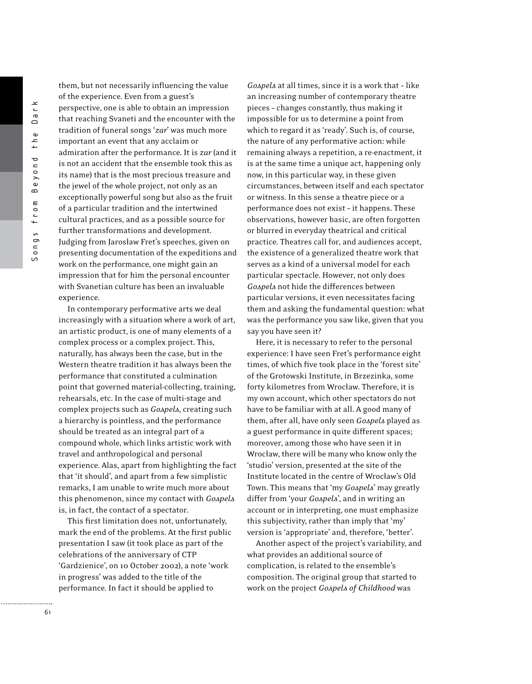them, but not necessarily influencing the value of the experience. Even from a guest's perspective, one is able to obtain an impression that reaching Svaneti and the encounter with the tradition of funeral songs '*zar*' was much more important an event that any acclaim or admiration after the performance. It is *zar* (and it is not an accident that the ensemble took this as its name) that is the most precious treasure and the jewel of the whole project, not only as an exceptionally powerful song but also as the fruit of a particular tradition and the intertwined cultural practices, and as a possible source for further transformations and development. Judging from Jarosław Fret's speeches, given on presenting documentation of the expeditions and work on the performance, one might gain an impression that for him the personal encounter with Svanetian culture has been an invaluable experience.

 In contemporary performative arts we deal increasingly with a situation where a work of art, an artistic product, is one of many elements of a complex process or a complex project. This, naturally, has always been the case, but in the Western theatre tradition it has always been the performance that constituted a culmination point that governed material-collecting, training, rehearsals, etc. In the case of multi-stage and complex projects such as *Gospels*, creating such a hierarchy is pointless, and the performance should be treated as an integral part of a compound whole, which links artistic work with travel and anthropological and personal experience. Alas, apart from highlighting the fact that 'it should', and apart from a few simplistic remarks, I am unable to write much more about this phenomenon, since my contact with *Gospels* is, in fact, the contact of a spectator.

 This first limitation does not, unfortunately, mark the end of the problems. At the first public presentation I saw (it took place as part of the celebrations of the anniversary of CTP 'Gardzienice', on 10 October 2002), a note 'work in progress' was added to the title of the performance. In fact it should be applied to

*Gospels* at all times, since it is a work that – like an increasing number of contemporary theatre pieces – changes constantly, thus making it impossible for us to determine a point from which to regard it as 'ready'. Such is, of course, the nature of any performative action: while remaining always a repetition, a re-enactment, it is at the same time a unique act, happening only now, in this particular way, in these given circumstances, between itself and each spectator or witness. In this sense a theatre piece or a performance does not exist – it happens. These observations, however basic, are often forgotten or blurred in everyday theatrical and critical practice. Theatres call for, and audiences accept, the existence of a generalized theatre work that serves as a kind of a universal model for each particular spectacle. However, not only does *Gospels* not hide the differences between particular versions, it even necessitates facing them and asking the fundamental question: what was the performance you saw like, given that you say you have seen it?

 Here, it is necessary to refer to the personal experience: I have seen Fret's performance eight times, of which five took place in the 'forest site' of the Grotowski Institute, in Brzezinka, some forty kilometres from Wrocław. Therefore, it is my own account, which other spectators do not have to be familiar with at all. A good many of them, after all, have only seen *Gospels* played as a guest performance in quite different spaces; moreover, among those who have seen it in Wrocław, there will be many who know only the 'studio' version, presented at the site of the Institute located in the centre of Wrocław's Old Town. This means that 'my *Gospels*' may greatly differ from 'your *Gospels*', and in writing an account or in interpreting, one must emphasize this subjectivity, rather than imply that 'my' version is 'appropriate' and, therefore, 'better'.

 Another aspect of the project's variability, and what provides an additional source of complication, is related to the ensemble's composition. The original group that started to work on the project *Gospels of Childhood* was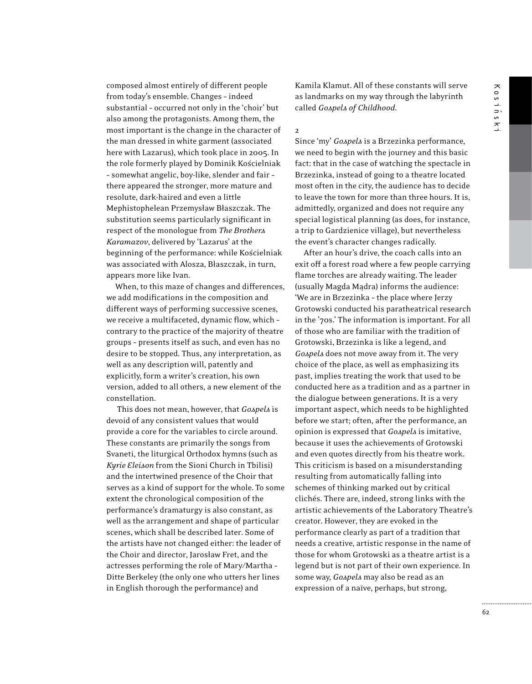composed almost entirely of different people from today's ensemble. Changes – indeed substantial – occurred not only in the 'choir' but also among the protagonists. Among them, the most important is the change in the character of the man dressed in white garment (associated here with Lazarus), which took place in 2005. In the role formerly played by Dominik Kościelniak – somewhat angelic, boy-like, slender and fair – there appeared the stronger, more mature and resolute, dark-haired and even a little Mephistophelean Przemysław Błaszczak. The substitution seems particularly significant in respect of the monologue from *The Brothers Karamazov*, delivered by 'Lazarus' at the beginning of the performance: while Kościelniak was associated with Alosza, Błaszczak, in turn, appears more like Ivan.

 When, to this maze of changes and differences, we add modifications in the composition and different ways of performing successive scenes, we receive a multifaceted, dynamic flow, which – contrary to the practice of the majority of theatre groups – presents itself as such, and even has no desire to be stopped. Thus, any interpretation, as well as any description will, patently and explicitly, form a writer's creation, his own version, added to all others, a new element of the constellation.

 This does not mean, however, that *Gospels* is devoid of any consistent values that would provide a core for the variables to circle around. These constants are primarily the songs from Svaneti, the liturgical Orthodox hymns (such as *Kyrie Eleison* from the Sioni Church in Tbilisi) and the intertwined presence of the Choir that serves as a kind of support for the whole. To some extent the chronological composition of the performance's dramaturgy is also constant, as well as the arrangement and shape of particular scenes, which shall be described later. Some of the artists have not changed either: the leader of the Choir and director, Jarosław Fret, and the actresses performing the role of Mary/Martha – Ditte Berkeley (the only one who utters her lines in English thorough the performance) and

Kamila Klamut. All of these constants will serve as landmarks on my way through the labyrinth called *Gospels of Childhood*.

## 2

Since 'my' *Gospels* is a Brzezinka performance, we need to begin with the journey and this basic fact: that in the case of watching the spectacle in Brzezinka, instead of going to a theatre located most often in the city, the audience has to decide to leave the town for more than three hours. It is, admittedly, organized and does not require any special logistical planning (as does, for instance, a trip to Gardzienice village), but nevertheless the event's character changes radically.

 After an hour's drive, the coach calls into an exit off a forest road where a few people carrying flame torches are already waiting. The leader (usually Magda Madra) informs the audience: 'We are in Brzezinka – the place where Jerzy Grotowski conducted his paratheatrical research in the '70s.' The information is important. For all of those who are familiar with the tradition of Grotowski, Brzezinka is like a legend, and *Gospels* does not move away from it. The very choice of the place, as well as emphasizing its past, implies treating the work that used to be conducted here as a tradition and as a partner in the dialogue between generations. It is a very important aspect, which needs to be highlighted before we start; often, after the performance, an opinion is expressed that *Gospels* is imitative, because it uses the achievements of Grotowski and even quotes directly from his theatre work. This criticism is based on a misunderstanding resulting from automatically falling into schemes of thinking marked out by critical clichés. There are, indeed, strong links with the artistic achievements of the Laboratory Theatre's creator. However, they are evoked in the performance clearly as part of a tradition that needs a creative, artistic response in the name of those for whom Grotowski as a theatre artist is a legend but is not part of their own experience. In some way, *Gospels* may also be read as an expression of a naïve, perhaps, but strong,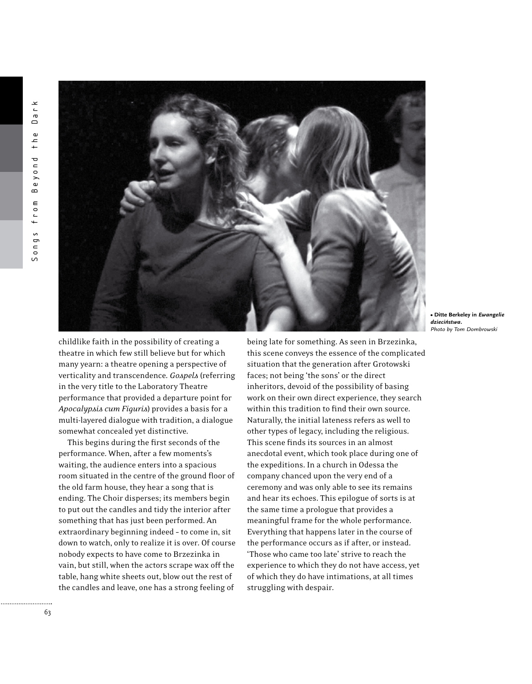

childlike faith in the possibility of creating a theatre in which few still believe but for which many yearn: a theatre opening a perspective of verticality and transcendence. *Gospels* (referring in the very title to the Laboratory Theatre performance that provided a departure point for *Apocalypsis cum Figuris*) provides a basis for a multi-layered dialogue with tradition, a dialogue somewhat concealed yet distinctive.

 This begins during the first seconds of the performance. When, after a few moments's waiting, the audience enters into a spacious room situated in the centre of the ground floor of the old farm house, they hear a song that is ending. The Choir disperses; its members begin to put out the candles and tidy the interior after something that has just been performed. An extraordinary beginning indeed – to come in, sit down to watch, only to realize it is over. Of course nobody expects to have come to Brzezinka in vain, but still, when the actors scrape wax off the table, hang white sheets out, blow out the rest of the candles and leave, one has a strong feeling of

being late for something. As seen in Brzezinka, this scene conveys the essence of the complicated situation that the generation after Grotowski faces; not being 'the sons' or the direct inheritors, devoid of the possibility of basing work on their own direct experience, they search within this tradition to find their own source. Naturally, the initial lateness refers as well to other types of legacy, including the religious. This scene finds its sources in an almost anecdotal event, which took place during one of the expeditions. In a church in Odessa the company chanced upon the very end of a ceremony and was only able to see its remains and hear its echoes. This epilogue of sorts is at the same time a prologue that provides a meaningful frame for the whole performance. Everything that happens later in the course of the performance occurs as if after, or instead. 'Those who came too late' strive to reach the experience to which they do not have access, yet of which they do have intimations, at all times struggling with despair.

**• Ditte Berkeley in** *Ewangelie dzieci´nstwa***.** *Photo by Tom Dombrowski*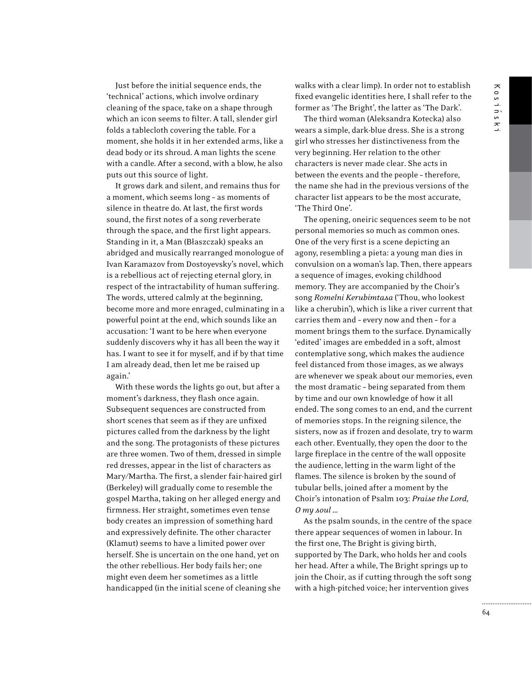Just before the initial sequence ends, the 'technical' actions, which involve ordinary cleaning of the space, take on a shape through which an icon seems to filter. A tall, slender girl folds a tablecloth covering the table. For a moment, she holds it in her extended arms, like a dead body or its shroud. A man lights the scene with a candle. After a second, with a blow, he also puts out this source of light.

 It grows dark and silent, and remains thus for a moment, which seems long – as moments of silence in theatre do. At last, the first words sound, the first notes of a song reverberate through the space, and the first light appears. Standing in it, a Man (Błaszczak) speaks an abridged and musically rearranged monologue of Ivan Karamazov from Dostoyevsky's novel, which is a rebellious act of rejecting eternal glory, in respect of the intractability of human suffering. The words, uttered calmly at the beginning, become more and more enraged, culminating in a powerful point at the end, which sounds like an accusation: 'I want to be here when everyone suddenly discovers why it has all been the way it has. I want to see it for myself, and if by that time I am already dead, then let me be raised up again.'

 With these words the lights go out, but after a moment's darkness, they flash once again. Subsequent sequences are constructed from short scenes that seem as if they are unfixed pictures called from the darkness by the light and the song. The protagonists of these pictures are three women. Two of them, dressed in simple red dresses, appear in the list of characters as Mary/Martha. The first, a slender fair-haired girl (Berkeley) will gradually come to resemble the gospel Martha, taking on her alleged energy and firmness. Her straight, sometimes even tense body creates an impression of something hard and expressively definite. The other character (Klamut) seems to have a limited power over herself. She is uncertain on the one hand, yet on the other rebellious. Her body fails her; one might even deem her sometimes as a little handicapped (in the initial scene of cleaning she

walks with a clear limp). In order not to establish fixed evangelic identities here, I shall refer to the former as 'The Bright', the latter as 'The Dark'.

 The third woman (Aleksandra Kotecka) also wears a simple, dark-blue dress. She is a strong girl who stresses her distinctiveness from the very beginning. Her relation to the other characters is never made clear. She acts in between the events and the people – therefore, the name she had in the previous versions of the character list appears to be the most accurate, 'The Third One'.

 The opening, oneiric sequences seem to be not personal memories so much as common ones. One of the very first is a scene depicting an agony, resembling a pieta: a young man dies in convulsion on a woman's lap. Then, there appears a sequence of images, evoking childhood memory. They are accompanied by the Choir's song *Romelni Kerubimtasa* ('Thou, who lookest like a cherubin'), which is like a river current that carries them and – every now and then – for a moment brings them to the surface. Dynamically 'edited' images are embedded in a soft, almost contemplative song, which makes the audience feel distanced from those images, as we always are whenever we speak about our memories, even the most dramatic – being separated from them by time and our own knowledge of how it all ended. The song comes to an end, and the current of memories stops. In the reigning silence, the sisters, now as if frozen and desolate, try to warm each other. Eventually, they open the door to the large fireplace in the centre of the wall opposite the audience, letting in the warm light of the flames. The silence is broken by the sound of tubular bells, joined after a moment by the Choir's intonation of Psalm 103: *Praise the Lord, O my soul* …

 As the psalm sounds, in the centre of the space there appear sequences of women in labour. In the first one, The Bright is giving birth, supported by The Dark, who holds her and cools her head. After a while, The Bright springs up to join the Choir, as if cutting through the soft song with a high-pitched voice; her intervention gives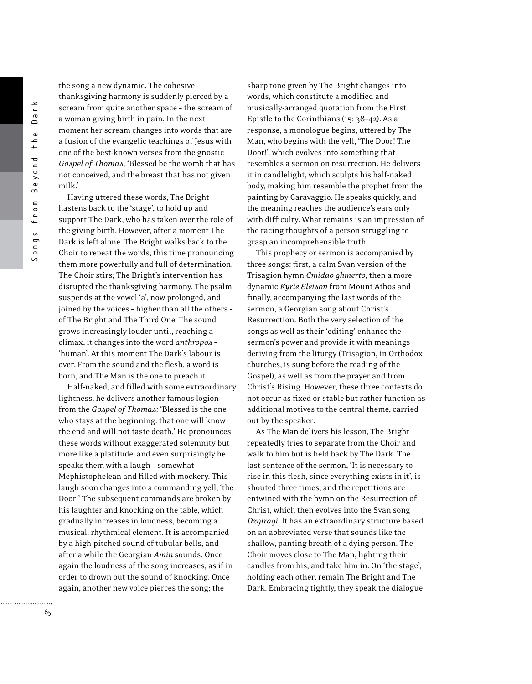the song a new dynamic. The cohesive thanksgiving harmony is suddenly pierced by a scream from quite another space – the scream of a woman giving birth in pain. In the next moment her scream changes into words that are a fusion of the evangelic teachings of Jesus with one of the best-known verses from the gnostic *Gospel of Thomas*, 'Blessed be the womb that has not conceived, and the breast that has not given milk.'

 Having uttered these words, The Bright hastens back to the 'stage', to hold up and support The Dark, who has taken over the role of the giving birth. However, after a moment The Dark is left alone. The Bright walks back to the Choir to repeat the words, this time pronouncing them more powerfully and full of determination. The Choir stirs; The Bright's intervention has disrupted the thanksgiving harmony. The psalm suspends at the vowel 'a', now prolonged, and joined by the voices – higher than all the others – of The Bright and The Third One. The sound grows increasingly louder until, reaching a climax, it changes into the word *anthropos* – 'human'. At this moment The Dark's labour is over. From the sound and the flesh, a word is born, and The Man is the one to preach it.

 Half-naked, and filled with some extraordinary lightness, he delivers another famous logion from the *Gospel of Thomas*: 'Blessed is the one who stays at the beginning: that one will know the end and will not taste death.' He pronounces these words without exaggerated solemnity but more like a platitude, and even surprisingly he speaks them with a laugh – somewhat Mephistophelean and filled with mockery. This laugh soon changes into a commanding yell, 'the Door!' The subsequent commands are broken by his laughter and knocking on the table, which gradually increases in loudness, becoming a musical, rhythmical element. It is accompanied by a high-pitched sound of tubular bells, and after a while the Georgian *Amin* sounds. Once again the loudness of the song increases, as if in order to drown out the sound of knocking. Once again, another new voice pierces the song; the

sharp tone given by The Bright changes into words, which constitute a modified and musically-arranged quotation from the First Epistle to the Corinthians (15: 38–42). As a response, a monologue begins, uttered by The Man, who begins with the yell, 'The Door! The Door!', which evolves into something that resembles a sermon on resurrection. He delivers it in candlelight, which sculpts his half-naked body, making him resemble the prophet from the painting by Caravaggio. He speaks quickly, and the meaning reaches the audience's ears only with difficulty. What remains is an impression of the racing thoughts of a person struggling to grasp an incomprehensible truth.

 This prophecy or sermon is accompanied by three songs: first, a calm Svan version of the Trisagion hymn *Cmidao ghmerto*, then a more dynamic *Kyrie Eleison* from Mount Athos and finally, accompanying the last words of the sermon, a Georgian song about Christ's Resurrection. Both the very selection of the songs as well as their 'editing' enhance the sermon's power and provide it with meanings deriving from the liturgy (Trisagion, in Orthodox churches, is sung before the reading of the Gospel), as well as from the prayer and from Christ's Rising. However, these three contexts do not occur as fixed or stable but rather function as additional motives to the central theme, carried out by the speaker.

 As The Man delivers his lesson, The Bright repeatedly tries to separate from the Choir and walk to him but is held back by The Dark. The last sentence of the sermon, 'It is necessary to rise in this flesh, since everything exists in it', is shouted three times, and the repetitions are entwined with the hymn on the Resurrection of Christ, which then evolves into the Svan song *Dzgiragi*. It has an extraordinary structure based on an abbreviated verse that sounds like the shallow, panting breath of a dying person. The Choir moves close to The Man, lighting their candles from his, and take him in. On 'the stage', holding each other, remain The Bright and The Dark. Embracing tightly, they speak the dialogue

65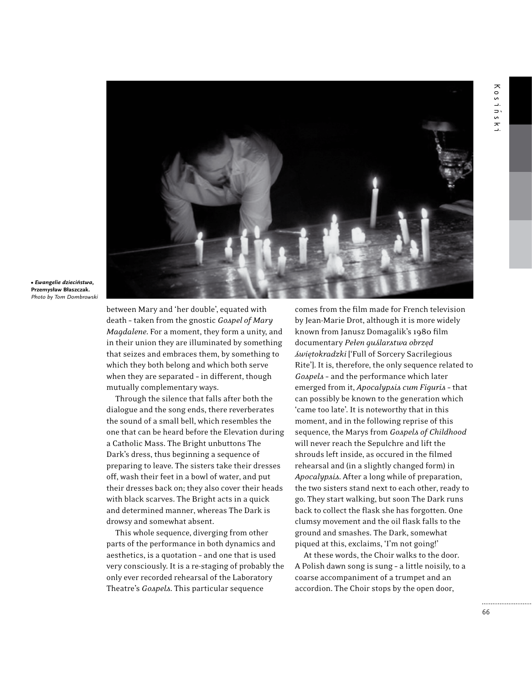

**•** *Ewangelie dzieci´nstwa***, Przemysław Błaszczak.** *Photo by Tom Dombrowski*

> between Mary and 'her double', equated with death – taken from the gnostic *Gospel of Mary Magdalene*. For a moment, they form a unity, and in their union they are illuminated by something that seizes and embraces them, by something to which they both belong and which both serve when they are separated – in different, though mutually complementary ways.

> Through the silence that falls after both the dialogue and the song ends, there reverberates the sound of a small bell, which resembles the one that can be heard before the Elevation during a Catholic Mass. The Bright unbuttons The Dark's dress, thus beginning a sequence of preparing to leave. The sisters take their dresses off, wash their feet in a bowl of water, and put their dresses back on; they also cover their heads with black scarves. The Bright acts in a quick and determined manner, whereas The Dark is drowsy and somewhat absent.

> This whole sequence, diverging from other parts of the performance in both dynamics and aesthetics, is a quotation – and one that is used very consciously. It is a re-staging of probably the only ever recorded rehearsal of the Laboratory Theatre's *Gospels*. This particular sequence

comes from the film made for French television by Jean-Marie Drot, although it is more widely known from Janusz Domagalik's 1980 film documentary *Pełen gus*´*larstwa obrze¸d świetokradzki* ['Full of Sorcery Sacrilegious Rite']. It is, therefore, the only sequence related to *Gospels* – and the performance which later emerged from it, *Apocalypsis cum Figuris* – that can possibly be known to the generation which 'came too late'. It is noteworthy that in this moment, and in the following reprise of this sequence, the Marys from *Gospels of Childhood*  will never reach the Sepulchre and lift the shrouds left inside, as occured in the filmed rehearsal and (in a slightly changed form) in *Apocalypsis*. After a long while of preparation, the two sisters stand next to each other, ready to go. They start walking, but soon The Dark runs back to collect the flask she has forgotten. One clumsy movement and the oil flask falls to the ground and smashes. The Dark, somewhat piqued at this, exclaims, 'I'm not going!'

 At these words, the Choir walks to the door. A Polish dawn song is sung – a little noisily, to a coarse accompaniment of a trumpet and an accordion. The Choir stops by the open door,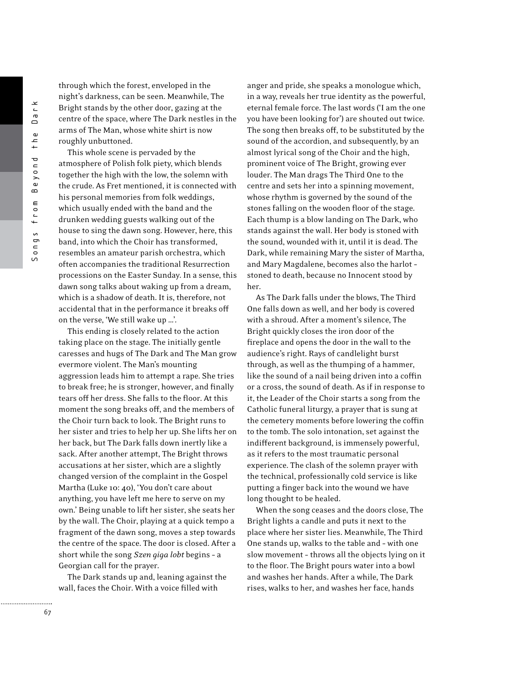through which the forest, enveloped in the night's darkness, can be seen. Meanwhile, The Bright stands by the other door, gazing at the centre of the space, where The Dark nestles in the arms of The Man, whose white shirt is now roughly unbuttoned.

 This whole scene is pervaded by the atmosphere of Polish folk piety, which blends together the high with the low, the solemn with the crude. As Fret mentioned, it is connected with his personal memories from folk weddings, which usually ended with the band and the drunken wedding guests walking out of the house to sing the dawn song. However, here, this band, into which the Choir has transformed, resembles an amateur parish orchestra, which often accompanies the traditional Resurrection processions on the Easter Sunday. In a sense, this dawn song talks about waking up from a dream, which is a shadow of death. It is, therefore, not accidental that in the performance it breaks off on the verse, 'We still wake up …'.

 This ending is closely related to the action taking place on the stage. The initially gentle caresses and hugs of The Dark and The Man grow evermore violent. The Man's mounting aggression leads him to attempt a rape. She tries to break free; he is stronger, however, and finally tears off her dress. She falls to the floor. At this moment the song breaks off, and the members of the Choir turn back to look. The Bright runs to her sister and tries to help her up. She lifts her on her back, but The Dark falls down inertly like a sack. After another attempt, The Bright throws accusations at her sister, which are a slightly changed version of the complaint in the Gospel Martha (Luke 10: 40), 'You don't care about anything, you have left me here to serve on my own.' Being unable to lift her sister, she seats her by the wall. The Choir, playing at a quick tempo a fragment of the dawn song, moves a step towards the centre of the space. The door is closed. After a short while the song *Szen giga lobt* begins – a Georgian call for the prayer.

 The Dark stands up and, leaning against the wall, faces the Choir. With a voice filled with

anger and pride, she speaks a monologue which, in a way, reveals her true identity as the powerful, eternal female force. The last words ('I am the one you have been looking for') are shouted out twice. The song then breaks off, to be substituted by the sound of the accordion, and subsequently, by an almost lyrical song of the Choir and the high, prominent voice of The Bright, growing ever louder. The Man drags The Third One to the centre and sets her into a spinning movement, whose rhythm is governed by the sound of the stones falling on the wooden floor of the stage. Each thump is a blow landing on The Dark, who stands against the wall. Her body is stoned with the sound, wounded with it, until it is dead. The Dark, while remaining Mary the sister of Martha, and Mary Magdalene, becomes also the harlot – stoned to death, because no Innocent stood by her.

 As The Dark falls under the blows, The Third One falls down as well, and her body is covered with a shroud. After a moment's silence, The Bright quickly closes the iron door of the fireplace and opens the door in the wall to the audience's right. Rays of candlelight burst through, as well as the thumping of a hammer, like the sound of a nail being driven into a coffin or a cross, the sound of death. As if in response to it, the Leader of the Choir starts a song from the Catholic funeral liturgy, a prayer that is sung at the cemetery moments before lowering the coffin to the tomb. The solo intonation, set against the indifferent background, is immensely powerful, as it refers to the most traumatic personal experience. The clash of the solemn prayer with the technical, professionally cold service is like putting a finger back into the wound we have long thought to be healed.

 When the song ceases and the doors close, The Bright lights a candle and puts it next to the place where her sister lies. Meanwhile, The Third One stands up, walks to the table and – with one slow movement – throws all the objects lying on it to the floor. The Bright pours water into a bowl and washes her hands. After a while, The Dark rises, walks to her, and washes her face, hands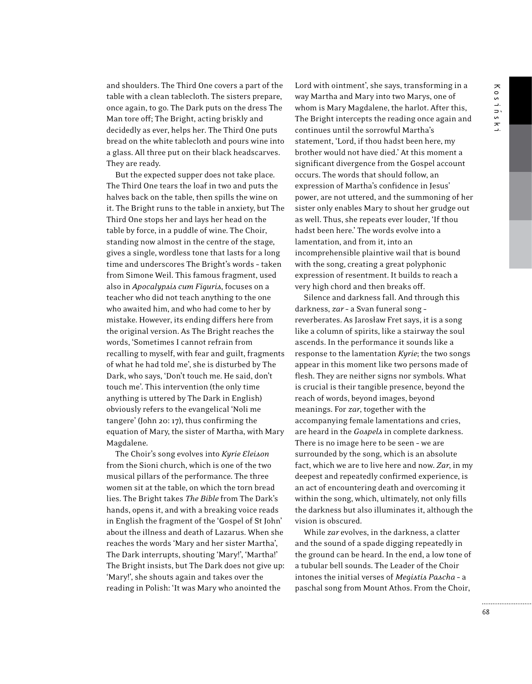and shoulders. The Third One covers a part of the table with a clean tablecloth. The sisters prepare, once again, to go. The Dark puts on the dress The Man tore off; The Bright, acting briskly and decidedly as ever, helps her. The Third One puts bread on the white tablecloth and pours wine into a glass. All three put on their black headscarves. They are ready.

 But the expected supper does not take place. The Third One tears the loaf in two and puts the halves back on the table, then spills the wine on it. The Bright runs to the table in anxiety, but The Third One stops her and lays her head on the table by force, in a puddle of wine. The Choir, standing now almost in the centre of the stage, gives a single, wordless tone that lasts for a long time and underscores The Bright's words – taken from Simone Weil. This famous fragment, used also in *Apocalypsis cum Figuris*, focuses on a teacher who did not teach anything to the one who awaited him, and who had come to her by mistake. However, its ending differs here from the original version. As The Bright reaches the words, 'Sometimes I cannot refrain from recalling to myself, with fear and guilt, fragments of what he had told me', she is disturbed by The Dark, who says, 'Don't touch me. He said, don't touch me'. This intervention (the only time anything is uttered by The Dark in English) obviously refers to the evangelical 'Noli me tangere' (John 20: 17), thus confirming the equation of Mary, the sister of Martha, with Mary Magdalene.

 The Choir's song evolves into *Kyrie Eleison* from the Sioni church, which is one of the two musical pillars of the performance. The three women sit at the table, on which the torn bread lies. The Bright takes *The Bible* from The Dark's hands, opens it, and with a breaking voice reads in English the fragment of the 'Gospel of St John' about the illness and death of Lazarus. When she reaches the words 'Mary and her sister Martha', The Dark interrupts, shouting 'Mary!', 'Martha!' The Bright insists, but The Dark does not give up: 'Mary!', she shouts again and takes over the reading in Polish: 'It was Mary who anointed the

Lord with ointment', she says, transforming in a way Martha and Mary into two Marys, one of whom is Mary Magdalene, the harlot. After this, The Bright intercepts the reading once again and continues until the sorrowful Martha's statement, 'Lord, if thou hadst been here, my brother would not have died.' At this moment a significant divergence from the Gospel account occurs. The words that should follow, an expression of Martha's confidence in Jesus' power, are not uttered, and the summoning of her sister only enables Mary to shout her grudge out as well. Thus, she repeats ever louder, 'If thou hadst been here.' The words evolve into a lamentation, and from it, into an incomprehensible plaintive wail that is bound with the song, creating a great polyphonic expression of resentment. It builds to reach a very high chord and then breaks off.

 Silence and darkness fall. And through this darkness, *zar* – a Svan funeral song – reverberates. As Jarosław Fret says, it is a song like a column of spirits, like a stairway the soul ascends. In the performance it sounds like a response to the lamentation *Kyrie*; the two songs appear in this moment like two persons made of flesh. They are neither signs nor symbols. What is crucial is their tangible presence, beyond the reach of words, beyond images, beyond meanings. For *zar*, together with the accompanying female lamentations and cries, are heard in the *Gospels* in complete darkness. There is no image here to be seen – we are surrounded by the song, which is an absolute fact, which we are to live here and now. *Zar*, in my deepest and repeatedly confirmed experience, is an act of encountering death and overcoming it within the song, which, ultimately, not only fills the darkness but also illuminates it, although the vision is obscured.

 While *zar* evolves, in the darkness, a clatter and the sound of a spade digging repeatedly in the ground can be heard. In the end, a low tone of a tubular bell sounds. The Leader of the Choir intones the initial verses of *Megistis Pascha* – a paschal song from Mount Athos. From the Choir,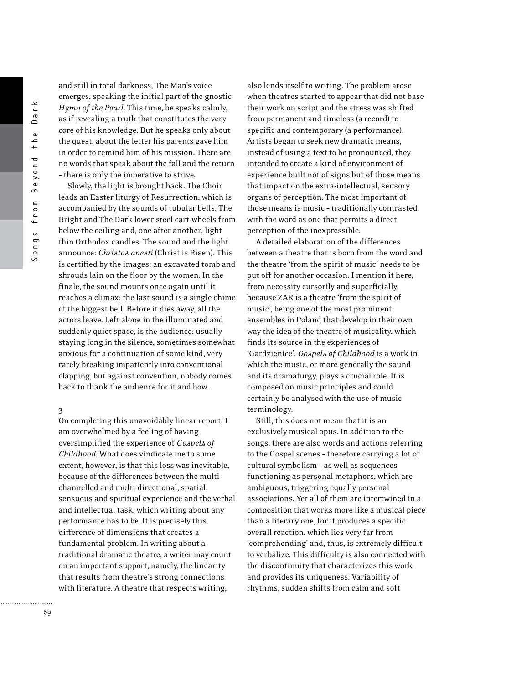and still in total darkness, The Man's voice emerges, speaking the initial part of the gnostic *Hymn of the Pearl*. This time, he speaks calmly, as if revealing a truth that constitutes the very core of his knowledge. But he speaks only about the quest, about the letter his parents gave him in order to remind him of his mission. There are no words that speak about the fall and the return – there is only the imperative to strive.

 Slowly, the light is brought back. The Choir leads an Easter liturgy of Resurrection, which is accompanied by the sounds of tubular bells. The Bright and The Dark lower steel cart-wheels from below the ceiling and, one after another, light thin Orthodox candles. The sound and the light announce: *Christos anesti* (Christ is Risen). This is certified by the images: an excavated tomb and shrouds lain on the floor by the women. In the finale, the sound mounts once again until it reaches a climax; the last sound is a single chime of the biggest bell. Before it dies away, all the actors leave. Left alone in the illuminated and suddenly quiet space, is the audience; usually staying long in the silence, sometimes somewhat anxious for a continuation of some kind, very rarely breaking impatiently into conventional clapping, but against convention, nobody comes back to thank the audience for it and bow.

### 3

On completing this unavoidably linear report, I am overwhelmed by a feeling of having oversimplified the experience of *Gospels of Childhood*. What does vindicate me to some extent, however, is that this loss was inevitable, because of the differences between the multichannelled and multi-directional, spatial, sensuous and spiritual experience and the verbal and intellectual task, which writing about any performance has to be. It is precisely this difference of dimensions that creates a fundamental problem. In writing about a traditional dramatic theatre, a writer may count on an important support, namely, the linearity that results from theatre's strong connections with literature. A theatre that respects writing,

also lends itself to writing. The problem arose when theatres started to appear that did not base their work on script and the stress was shifted from permanent and timeless (a record) to specific and contemporary (a performance). Artists began to seek new dramatic means, instead of using a text to be pronounced, they intended to create a kind of environment of experience built not of signs but of those means that impact on the extra-intellectual, sensory organs of perception. The most important of those means is music – traditionally contrasted with the word as one that permits a direct perception of the inexpressible.

 A detailed elaboration of the differences between a theatre that is born from the word and the theatre 'from the spirit of music' needs to be put off for another occasion. I mention it here, from necessity cursorily and superficially, because ZAR is a theatre 'from the spirit of music', being one of the most prominent ensembles in Poland that develop in their own way the idea of the theatre of musicality, which finds its source in the experiences of 'Gardzienice'. *Gospels of Childhood* is a work in which the music, or more generally the sound and its dramaturgy, plays a crucial role. It is composed on music principles and could certainly be analysed with the use of music terminology.

 Still, this does not mean that it is an exclusively musical opus. In addition to the songs, there are also words and actions referring to the Gospel scenes – therefore carrying a lot of cultural symbolism – as well as sequences functioning as personal metaphors, which are ambiguous, triggering equally personal associations. Yet all of them are intertwined in a composition that works more like a musical piece than a literary one, for it produces a specific overall reaction, which lies very far from 'comprehending' and, thus, is extremely difficult to verbalize. This difficulty is also connected with the discontinuity that characterizes this work and provides its uniqueness. Variability of rhythms, sudden shifts from calm and soft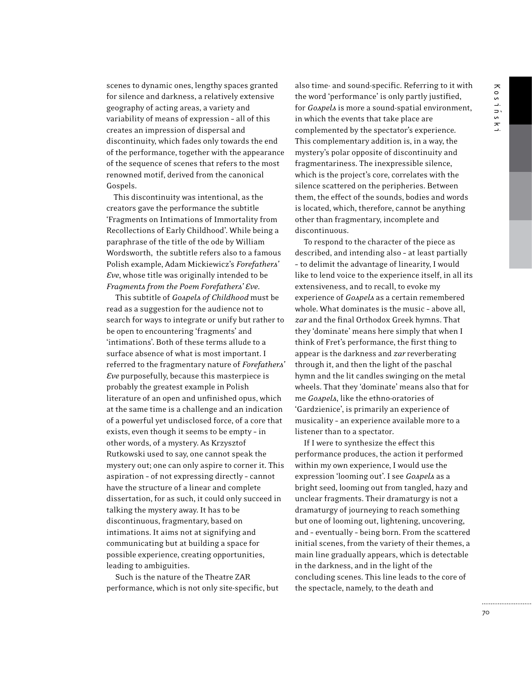scenes to dynamic ones, lengthy spaces granted for silence and darkness, a relatively extensive geography of acting areas, a variety and variability of means of expression – all of this creates an impression of dispersal and discontinuity, which fades only towards the end of the performance, together with the appearance of the sequence of scenes that refers to the most renowned motif, derived from the canonical Gospels.

This discontinuity was intentional, as the creators gave the performance the subtitle 'Fragments on Intimations of Immortality from Recollections of Early Childhood'. While being a paraphrase of the title of the ode by William Wordsworth, the subtitle refers also to a famous Polish example, Adam Mickiewicz's *Forefathers' Eve*, whose title was originally intended to be *Fragments from the Poem Forefathers' Eve*.

 This subtitle of *Gospels of Childhood* must be read as a suggestion for the audience not to search for ways to integrate or unify but rather to be open to encountering 'fragments' and 'intimations'. Both of these terms allude to a surface absence of what is most important. I referred to the fragmentary nature of *Forefathers' Eve* purposefully, because this masterpiece is probably the greatest example in Polish literature of an open and unfinished opus, which at the same time is a challenge and an indication of a powerful yet undisclosed force, of a core that exists, even though it seems to be empty – in other words, of a mystery. As Krzysztof Rutkowski used to say, one cannot speak the mystery out; one can only aspire to corner it. This aspiration – of not expressing directly – cannot have the structure of a linear and complete dissertation, for as such, it could only succeed in talking the mystery away. It has to be discontinuous, fragmentary, based on intimations. It aims not at signifying and communicating but at building a space for possible experience, creating opportunities, leading to ambiguities.

 Such is the nature of the Theatre ZAR performance, which is not only site-specific, but also time- and sound-specific. Referring to it with the word 'performance' is only partly justified, for *Gospels* is more a sound-spatial environment, in which the events that take place are complemented by the spectator's experience. This complementary addition is, in a way, the mystery's polar opposite of discontinuity and fragmentariness. The inexpressible silence, which is the project's core, correlates with the silence scattered on the peripheries. Between them, the effect of the sounds, bodies and words is located, which, therefore, cannot be anything other than fragmentary, incomplete and discontinuous.

 To respond to the character of the piece as described, and intending also – at least partially – to delimit the advantage of linearity, I would like to lend voice to the experience itself, in all its extensiveness, and to recall, to evoke my experience of *Gospels* as a certain remembered whole. What dominates is the music – above all, *zar* and the final Orthodox Greek hymns. That they 'dominate' means here simply that when I think of Fret's performance, the first thing to appear is the darkness and *zar* reverberating through it, and then the light of the paschal hymn and the lit candles swinging on the metal wheels. That they 'dominate' means also that for me *Gospels*, like the ethno-oratories of 'Gardzienice', is primarily an experience of musicality – an experience available more to a listener than to a spectator.

 If I were to synthesize the effect this performance produces, the action it performed within my own experience, I would use the expression 'looming out'. I see *Gospels* as a bright seed, looming out from tangled, hazy and unclear fragments. Their dramaturgy is not a dramaturgy of journeying to reach something but one of looming out, lightening, uncovering, and – eventually – being born. From the scattered initial scenes, from the variety of their themes, a main line gradually appears, which is detectable in the darkness, and in the light of the concluding scenes. This line leads to the core of the spectacle, namely, to the death and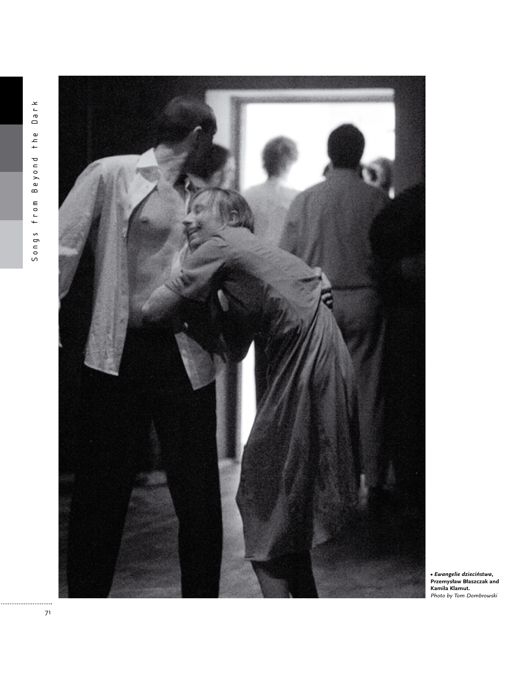

**•** *Ewangelie dzieci´nstwa***, Przemysław Błaszczak and Kamila Klamut.** *Photo by Tom Dombrowski*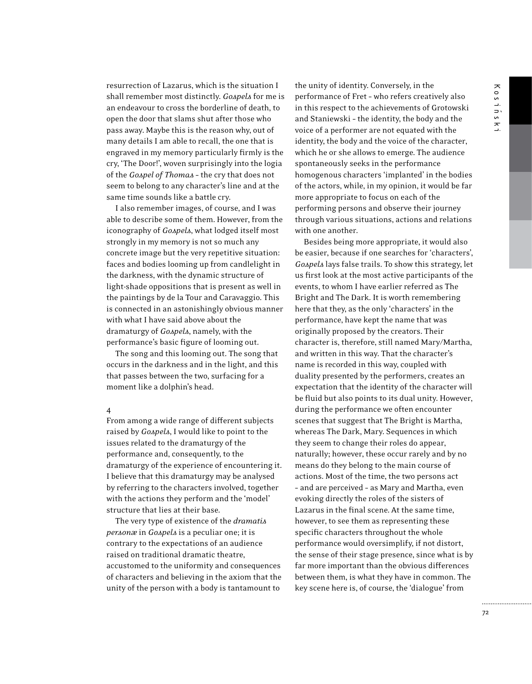resurrection of Lazarus, which is the situation I shall remember most distinctly. *Gospels* for me is an endeavour to cross the borderline of death, to open the door that slams shut after those who pass away. Maybe this is the reason why, out of many details I am able to recall, the one that is engraved in my memory particularly firmly is the cry, 'The Door!', woven surprisingly into the logia of the *Gospel of Thomas* – the cry that does not seem to belong to any character's line and at the same time sounds like a battle cry.

 I also remember images, of course, and I was able to describe some of them. However, from the iconography of *Gospels*, what lodged itself most strongly in my memory is not so much any concrete image but the very repetitive situation: faces and bodies looming up from candlelight in the darkness, with the dynamic structure of light-shade oppositions that is present as well in the paintings by de la Tour and Caravaggio. This is connected in an astonishingly obvious manner with what I have said above about the dramaturgy of *Gospels*, namely, with the performance's basic figure of looming out.

 The song and this looming out. The song that occurs in the darkness and in the light, and this that passes between the two, surfacing for a moment like a dolphin's head.

#### 4

From among a wide range of different subjects raised by *Gospels*, I would like to point to the issues related to the dramaturgy of the performance and, consequently, to the dramaturgy of the experience of encountering it. I believe that this dramaturgy may be analysed by referring to the characters involved, together with the actions they perform and the 'model' structure that lies at their base.

 The very type of existence of the *dramatis personæ* in *Gospels* is a peculiar one; it is contrary to the expectations of an audience raised on traditional dramatic theatre, accustomed to the uniformity and consequences of characters and believing in the axiom that the unity of the person with a body is tantamount to

the unity of identity. Conversely, in the performance of Fret – who refers creatively also in this respect to the achievements of Grotowski and Staniewski – the identity, the body and the voice of a performer are not equated with the identity, the body and the voice of the character, which he or she allows to emerge. The audience spontaneously seeks in the performance homogenous characters 'implanted' in the bodies of the actors, while, in my opinion, it would be far more appropriate to focus on each of the performing persons and observe their journey through various situations, actions and relations with one another.

 Besides being more appropriate, it would also be easier, because if one searches for 'characters', *Gospels* lays false trails. To show this strategy, let us first look at the most active participants of the events, to whom I have earlier referred as The Bright and The Dark. It is worth remembering here that they, as the only 'characters' in the performance, have kept the name that was originally proposed by the creators. Their character is, therefore, still named Mary/Martha, and written in this way. That the character's name is recorded in this way, coupled with duality presented by the performers, creates an expectation that the identity of the character will be fluid but also points to its dual unity. However, during the performance we often encounter scenes that suggest that The Bright is Martha, whereas The Dark, Mary. Sequences in which they seem to change their roles do appear, naturally; however, these occur rarely and by no means do they belong to the main course of actions. Most of the time, the two persons act – and are perceived – as Mary and Martha, even evoking directly the roles of the sisters of Lazarus in the final scene. At the same time, however, to see them as representing these specific characters throughout the whole performance would oversimplify, if not distort, the sense of their stage presence, since what is by far more important than the obvious differences between them, is what they have in common. The key scene here is, of course, the 'dialogue' from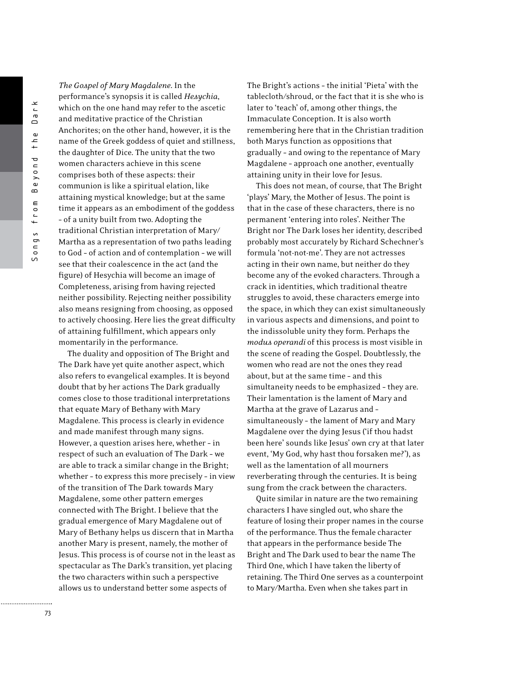*The Gospel of Mary Magdalene*. In the performance's synopsis it is called *Hesychia*, which on the one hand may refer to the ascetic and meditative practice of the Christian Anchorites; on the other hand, however, it is the name of the Greek goddess of quiet and stillness, the daughter of Dice. The unity that the two women characters achieve in this scene comprises both of these aspects: their communion is like a spiritual elation, like attaining mystical knowledge; but at the same time it appears as an embodiment of the goddess – of a unity built from two. Adopting the traditional Christian interpretation of Mary/ Martha as a representation of two paths leading to God – of action and of contemplation – we will see that their coalescence in the act (and the figure) of Hesychia will become an image of Completeness, arising from having rejected neither possibility. Rejecting neither possibility also means resigning from choosing, as opposed to actively choosing. Here lies the great difficulty of attaining fulfillment, which appears only momentarily in the performance.

 The duality and opposition of The Bright and The Dark have yet quite another aspect, which also refers to evangelical examples. It is beyond doubt that by her actions The Dark gradually comes close to those traditional interpretations that equate Mary of Bethany with Mary Magdalene. This process is clearly in evidence and made manifest through many signs. However, a question arises here, whether – in respect of such an evaluation of The Dark – we are able to track a similar change in the Bright; whether – to express this more precisely – in view of the transition of The Dark towards Mary Magdalene, some other pattern emerges connected with The Bright. I believe that the gradual emergence of Mary Magdalene out of Mary of Bethany helps us discern that in Martha another Mary is present, namely, the mother of Jesus. This process is of course not in the least as spectacular as The Dark's transition, yet placing the two characters within such a perspective allows us to understand better some aspects of

The Bright's actions – the initial 'Pieta' with the tablecloth/shroud, or the fact that it is she who is later to 'teach' of, among other things, the Immaculate Conception. It is also worth remembering here that in the Christian tradition both Marys function as oppositions that gradually – and owing to the repentance of Mary Magdalene – approach one another, eventually attaining unity in their love for Jesus.

 This does not mean, of course, that The Bright 'plays' Mary, the Mother of Jesus. The point is that in the case of these characters, there is no permanent 'entering into roles'. Neither The Bright nor The Dark loses her identity, described probably most accurately by Richard Schechner's formula 'not-not-me'. They are not actresses acting in their own name, but neither do they become any of the evoked characters. Through a crack in identities, which traditional theatre struggles to avoid, these characters emerge into the space, in which they can exist simultaneously in various aspects and dimensions, and point to the indissoluble unity they form. Perhaps the *modus operandi* of this process is most visible in the scene of reading the Gospel. Doubtlessly, the women who read are not the ones they read about, but at the same time – and this simultaneity needs to be emphasized – they are. Their lamentation is the lament of Mary and Martha at the grave of Lazarus and – simultaneously – the lament of Mary and Mary Magdalene over the dying Jesus ('if thou hadst been here' sounds like Jesus' own cry at that later event, 'My God, why hast thou forsaken me?'), as well as the lamentation of all mourners reverberating through the centuries. It is being sung from the crack between the characters.

 Quite similar in nature are the two remaining characters I have singled out, who share the feature of losing their proper names in the course of the performance. Thus the female character that appears in the performance beside The Bright and The Dark used to bear the name The Third One, which I have taken the liberty of retaining. The Third One serves as a counterpoint to Mary/Martha. Even when she takes part in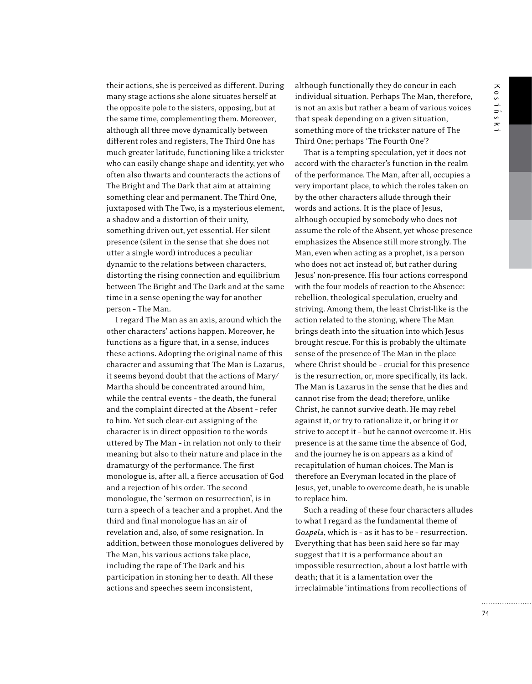their actions, she is perceived as different. During many stage actions she alone situates herself at the opposite pole to the sisters, opposing, but at the same time, complementing them. Moreover, although all three move dynamically between different roles and registers, The Third One has much greater latitude, functioning like a trickster who can easily change shape and identity, yet who often also thwarts and counteracts the actions of The Bright and The Dark that aim at attaining something clear and permanent. The Third One, juxtaposed with The Two, is a mysterious element, a shadow and a distortion of their unity, something driven out, yet essential. Her silent presence (silent in the sense that she does not utter a single word) introduces a peculiar dynamic to the relations between characters, distorting the rising connection and equilibrium between The Bright and The Dark and at the same time in a sense opening the way for another person – The Man.

 I regard The Man as an axis, around which the other characters' actions happen. Moreover, he functions as a figure that, in a sense, induces these actions. Adopting the original name of this character and assuming that The Man is Lazarus, it seems beyond doubt that the actions of Mary/ Martha should be concentrated around him, while the central events – the death, the funeral and the complaint directed at the Absent – refer to him. Yet such clear-cut assigning of the character is in direct opposition to the words uttered by The Man – in relation not only to their meaning but also to their nature and place in the dramaturgy of the performance. The first monologue is, after all, a fierce accusation of God and a rejection of his order. The second monologue, the 'sermon on resurrection', is in turn a speech of a teacher and a prophet. And the third and final monologue has an air of revelation and, also, of some resignation. In addition, between those monologues delivered by The Man, his various actions take place, including the rape of The Dark and his participation in stoning her to death. All these actions and speeches seem inconsistent,

although functionally they do concur in each individual situation. Perhaps The Man, therefore, is not an axis but rather a beam of various voices that speak depending on a given situation, something more of the trickster nature of The Third One; perhaps 'The Fourth One'?

 That is a tempting speculation, yet it does not accord with the character's function in the realm of the performance. The Man, after all, occupies a very important place, to which the roles taken on by the other characters allude through their words and actions. It is the place of Jesus, although occupied by somebody who does not assume the role of the Absent, yet whose presence emphasizes the Absence still more strongly. The Man, even when acting as a prophet, is a person who does not act instead of, but rather during Jesus' non-presence. His four actions correspond with the four models of reaction to the Absence: rebellion, theological speculation, cruelty and striving. Among them, the least Christ-like is the action related to the stoning, where The Man brings death into the situation into which Jesus brought rescue. For this is probably the ultimate sense of the presence of The Man in the place where Christ should be – crucial for this presence is the resurrection, or, more specifically, its lack. The Man is Lazarus in the sense that he dies and cannot rise from the dead; therefore, unlike Christ, he cannot survive death. He may rebel against it, or try to rationalize it, or bring it or strive to accept it – but he cannot overcome it. His presence is at the same time the absence of God, and the journey he is on appears as a kind of recapitulation of human choices. The Man is therefore an Everyman located in the place of Jesus, yet, unable to overcome death, he is unable to replace him.

 Such a reading of these four characters alludes to what I regard as the fundamental theme of *Gospels*, which is – as it has to be – resurrection. Everything that has been said here so far may suggest that it is a performance about an impossible resurrection, about a lost battle with death; that it is a lamentation over the irreclaimable 'intimations from recollections of